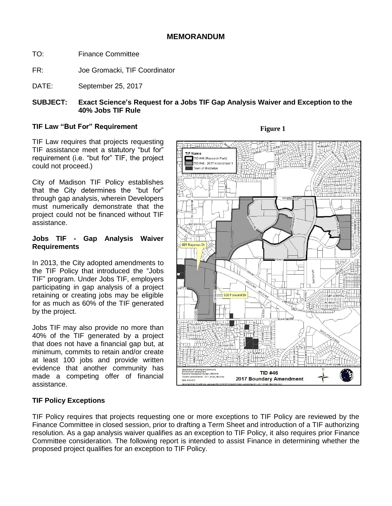- TO: Finance Committee
- FR: Joe Gromacki, TIF Coordinator
- DATE: September 25, 2017

# **SUBJECT: Exact Science's Request for a Jobs TIF Gap Analysis Waiver and Exception to the 40% Jobs TIF Rule**

## **TIF Law "But For" Requirement**

TIF Law requires that projects requesting TIF assistance meet a statutory "but for" requirement (i.e. "but for" TIF, the project could not proceed.)

City of Madison TIF Policy establishes that the City determines the "but for" through gap analysis, wherein Developers must numerically demonstrate that the project could not be financed without TIF assistance.

#### **Jobs TIF - Gap Analysis Waiver Requirements**

In 2013, the City adopted amendments to the TIF Policy that introduced the "Jobs TIF" program. Under Jobs TIF, employers participating in gap analysis of a project retaining or creating jobs may be eligible for as much as 60% of the TIF generated by the project.

Jobs TIF may also provide no more than 40% of the TIF generated by a project that does not have a financial gap but, at minimum, commits to retain and/or create at least 100 jobs and provide written evidence that another community has made a competing offer of financial assistance.



# **Figure 1**

# **TIF Policy Exceptions**

TIF Policy requires that projects requesting one or more exceptions to TIF Policy are reviewed by the Finance Committee in closed session, prior to drafting a Term Sheet and introduction of a TIF authorizing resolution. As a gap analysis waiver qualifies as an exception to TIF Policy, it also requires prior Finance Committee consideration. The following report is intended to assist Finance in determining whether the proposed project qualifies for an exception to TIF Policy.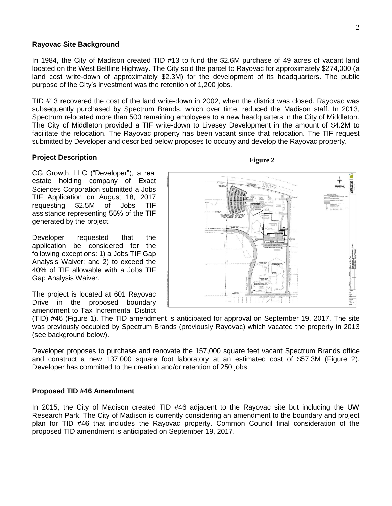#### **Rayovac Site Background**

In 1984, the City of Madison created TID #13 to fund the \$2.6M purchase of 49 acres of vacant land located on the West Beltline Highway. The City sold the parcel to Rayovac for approximately \$274,000 (a land cost write-down of approximately \$2.3M) for the development of its headquarters. The public purpose of the City's investment was the retention of 1,200 jobs.

TID #13 recovered the cost of the land write-down in 2002, when the district was closed. Rayovac was subsequently purchased by Spectrum Brands, which over time, reduced the Madison staff. In 2013, Spectrum relocated more than 500 remaining employees to a new headquarters in the City of Middleton. The City of Middleton provided a TIF write-down to Livesey Development in the amount of \$4.2M to facilitate the relocation. The Rayovac property has been vacant since that relocation. The TIF request submitted by Developer and described below proposes to occupy and develop the Rayovac property.

## **Project Description**

CG Growth, LLC ("Developer"), a real estate holding company of Exact Sciences Corporation submitted a Jobs TIF Application on August 18, 2017 requesting \$2.5M of Jobs TIF assistance representing 55% of the TIF generated by the project.

Developer requested that the application be considered for the following exceptions: 1) a Jobs TIF Gap Analysis Waiver; and 2) to exceed the 40% of TIF allowable with a Jobs TIF Gap Analysis Waiver.

The project is located at 601 Rayovac Drive in the proposed boundary amendment to Tax Incremental District

(TID) #46 (Figure 1). The TID amendment is anticipated for approval on September 19, 2017. The site was previously occupied by Spectrum Brands (previously Rayovac) which vacated the property in 2013 (see background below).

Developer proposes to purchase and renovate the 157,000 square feet vacant Spectrum Brands office and construct a new 137,000 square foot laboratory at an estimated cost of \$57.3M (Figure 2). Developer has committed to the creation and/or retention of 250 jobs.

#### **Proposed TID #46 Amendment**

In 2015, the City of Madison created TID #46 adjacent to the Rayovac site but including the UW Research Park. The City of Madison is currently considering an amendment to the boundary and project plan for TID #46 that includes the Rayovac property. Common Council final consideration of the proposed TID amendment is anticipated on September 19, 2017.

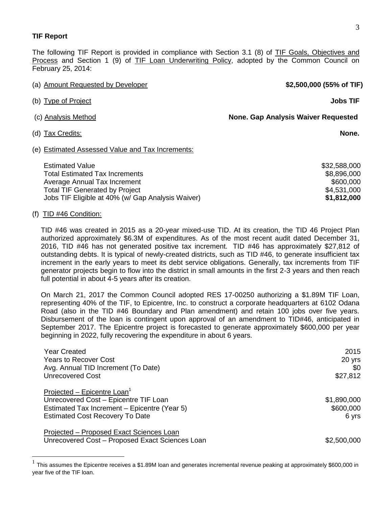#### **TIF Report**

The following TIF Report is provided in compliance with Section 3.1 (8) of TIF Goals, Objectives and Process and Section 1 (9) of TIF Loan Underwriting Policy, adopted by the Common Council on February 25, 2014:

| (a) Amount Requested by Developer                                                                                                        | \$2,500,000 (55% of TIF)                                |  |  |
|------------------------------------------------------------------------------------------------------------------------------------------|---------------------------------------------------------|--|--|
| (b) Type of Project                                                                                                                      | <b>Jobs TIF</b>                                         |  |  |
| (c) Analysis Method                                                                                                                      | <b>None. Gap Analysis Waiver Requested</b>              |  |  |
| (d) Tax Credits:                                                                                                                         | None.                                                   |  |  |
| (e) Estimated Assessed Value and Tax Increments:                                                                                         |                                                         |  |  |
| <b>Estimated Value</b><br><b>Total Estimated Tax Increments</b><br>Average Annual Tax Increment<br><b>Total TIF Generated by Project</b> | \$32,588,000<br>\$8,896,000<br>\$600,000<br>\$4,531,000 |  |  |

#### (f) TID #46 Condition:

 $\overline{a}$ 

TID #46 was created in 2015 as a 20-year mixed-use TID. At its creation, the TID 46 Project Plan authorized approximately \$6.3M of expenditures. As of the most recent audit dated December 31, 2016, TID #46 has not generated positive tax increment. TID #46 has approximately \$27,812 of outstanding debts. It is typical of newly-created districts, such as TID #46, to generate insufficient tax increment in the early years to meet its debt service obligations. Generally, tax increments from TIF generator projects begin to flow into the district in small amounts in the first 2-3 years and then reach full potential in about 4-5 years after its creation.

Jobs TIF Eligible at 40% (w/ Gap Analysis Waiver) **\$1,812,000**

On March 21, 2017 the Common Council adopted RES 17-00250 authorizing a \$1.89M TIF Loan, representing 40% of the TIF, to Epicentre, Inc. to construct a corporate headquarters at 6102 Odana Road (also in the TID #46 Boundary and Plan amendment) and retain 100 jobs over five years. Disbursement of the loan is contingent upon approval of an amendment to TID#46, anticipated in September 2017. The Epicentre project is forecasted to generate approximately \$600,000 per year beginning in 2022, fully recovering the expenditure in about 6 years.

| Year Created                                    | 2015        |
|-------------------------------------------------|-------------|
| Years to Recover Cost                           | 20 yrs      |
| Avg. Annual TID Increment (To Date)             | \$0         |
| <b>Unrecovered Cost</b>                         | \$27,812    |
| Projected - Epicentre Loan <sup>1</sup>         |             |
| Unrecovered Cost - Epicentre TIF Loan           | \$1,890,000 |
| Estimated Tax Increment - Epicentre (Year 5)    | \$600,000   |
| <b>Estimated Cost Recovery To Date</b>          | 6 yrs       |
| Projected - Proposed Exact Sciences Loan        |             |
| Unrecovered Cost - Proposed Exact Sciences Loan | \$2,500,000 |

<sup>1</sup> This assumes the Epicentre receives a \$1.89M loan and generates incremental revenue peaking at approximately \$600,000 in year five of the TIF loan.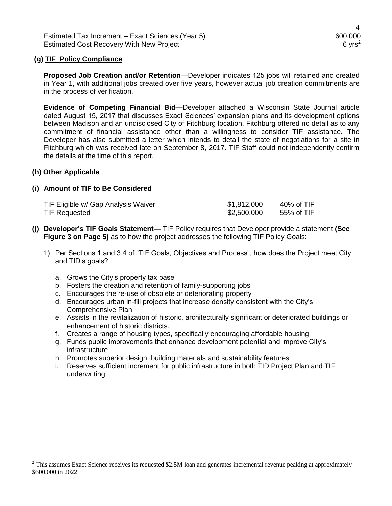Estimated Tax Increment – Exact Sciences (Year 5) 600,000 600,000 Estimated Cost Recovery With New Project 6 yrs<sup>2</sup> 6 yrs<sup>2</sup>

#### **(g) TIF Policy Compliance**

**Proposed Job Creation and/or Retention**—Developer indicates 125 jobs will retained and created in Year 1, with additional jobs created over five years, however actual job creation commitments are in the process of verification.

**Evidence of Competing Financial Bid—**Developer attached a Wisconsin State Journal article dated August 15, 2017 that discusses Exact Sciences' expansion plans and its development options between Madison and an undisclosed City of Fitchburg location. Fitchburg offered no detail as to any commitment of financial assistance other than a willingness to consider TIF assistance. The Developer has also submitted a letter which intends to detail the state of negotiations for a site in Fitchburg which was received late on September 8, 2017. TIF Staff could not independently confirm the details at the time of this report.

#### **(h) Other Applicable**

## **(i) Amount of TIF to Be Considered**

| TIF Eligible w/ Gap Analysis Waiver | \$1,812,000 | 40% of TIF |
|-------------------------------------|-------------|------------|
| TIF Requested                       | \$2,500,000 | 55% of TIF |

- **(j) Developer's TIF Goals Statement—** TIF Policy requires that Developer provide a statement **(See Figure 3 on Page 5)** as to how the project addresses the following TIF Policy Goals:
	- 1) Per Sections 1 and 3.4 of "TIF Goals, Objectives and Process", how does the Project meet City and TID's goals?
		- a. Grows the City's property tax base
		- b. Fosters the creation and retention of family-supporting jobs
		- c. Encourages the re-use of obsolete or deteriorating property
		- d. Encourages urban in-fill projects that increase density consistent with the City's Comprehensive Plan
		- e. Assists in the revitalization of historic, architecturally significant or deteriorated buildings or enhancement of historic districts.
		- f. Creates a range of housing types, specifically encouraging affordable housing
		- g. Funds public improvements that enhance development potential and improve City's infrastructure
		- h. Promotes superior design, building materials and sustainability features
		- i. Reserves sufficient increment for public infrastructure in both TID Project Plan and TIF underwriting

<sup>2</sup> This assumes Exact Science receives its requested \$2.5M loan and generates incremental revenue peaking at approximately \$600,000 in 2022.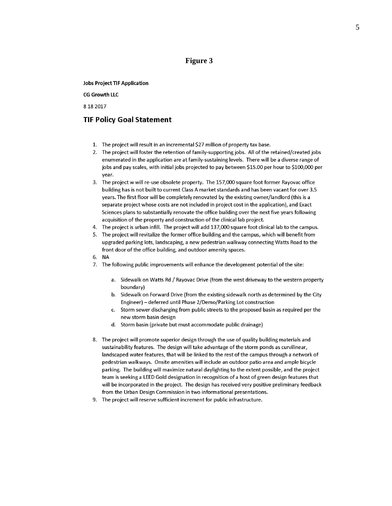## **Figure 3**

#### **Jobs Project TIF Application**

#### **CG Growth LLC**

8 18 2017

#### **TIF Policy Goal Statement**

- 1. The project will result in an incremental \$27 million of property tax base.
- 2. The project will foster the retention of family-supporting jobs. All of the retained/created jobs enumerated in the application are at family-sustaining levels. There will be a diverse range of jobs and pay scales, with initial jobs projected to pay between \$15.00 per hour to \$100,000 per vear.
- The project w will re-use obsolete property. The 157,000 square foot former Rayovac office 3. building has is not built to current Class A market standards and has been vacant for over 3.5 years. The first floor will be completely renovated by the existing owner/landlord (this is a separate project whose costs are not included in project cost in the application), and Exact Sciences plans to substantially renovate the office building over the next five years following acquisition of the property and construction of the clinical lab project.
- 4. The project is urban infill. The project will add 137,000 square foot clinical lab to the campus.
- 5. The project will revitalize the former office building and the campus, which will benefit from upgraded parking lots, landscaping, a new pedestrian walkway connecting Watts Road to the front door of the office building, and outdoor amenity spaces.
- 6. NA
- 7. The following public improvements will enhance the development potential of the site:
	- a. Sidewalk on Watts Rd / Rayovac Drive (from the west driveway to the western property boundary)
	- b. Sidewalk on Forward Drive (from the existing sidewalk north as determined by the City Engineer) - deferred until Phase 2/Demo/Parking Lot construction
	- Storm sewer discharging from public streets to the proposed basin as required per the  $\mathbf{C}$ new storm basin design
	- d. Storm basin (private but must accommodate public drainage)
- 8. The project will promote superior design through the use of quality building materials and sustainability features. The design will take advantage of the storm ponds as curvilinear, landscaped water features, that will be linked to the rest of the campus through a network of pedestrian walkways. Onsite amenities will include an outdoor patio area and ample bicycle parking. The building will maximize natural daylighting to the extent possible, and the project team is seeking a LEED Gold designation in recognition of a host of green design features that will be incorporated in the project. The design has received very positive preliminary feedback from the Urban Design Commission in two informational presentations.
- 9. The project will reserve sufficient increment for public infrastructure.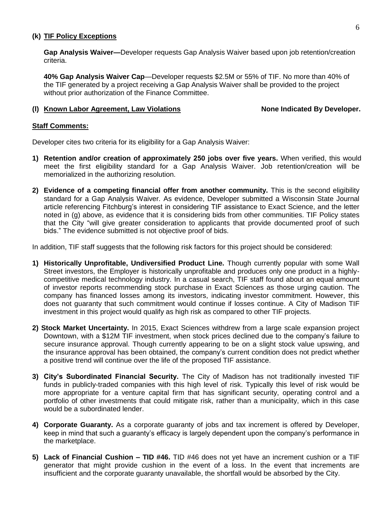#### **(k) TIF Policy Exceptions**

**Gap Analysis Waiver—**Developer requests Gap Analysis Waiver based upon job retention/creation criteria.

**40% Gap Analysis Waiver Cap**—Developer requests \$2.5M or 55% of TIF. No more than 40% of the TIF generated by a project receiving a Gap Analysis Waiver shall be provided to the project without prior authorization of the Finance Committee.

#### **(l) Known Labor Agreement, Law Violations None Indicated By Developer.**

#### **Staff Comments:**

Developer cites two criteria for its eligibility for a Gap Analysis Waiver:

- **1) Retention and/or creation of approximately 250 jobs over five years.** When verified, this would meet the first eligibility standard for a Gap Analysis Waiver. Job retention/creation will be memorialized in the authorizing resolution.
- **2) Evidence of a competing financial offer from another community.** This is the second eligibility standard for a Gap Analysis Waiver. As evidence, Developer submitted a Wisconsin State Journal article referencing Fitchburg's interest in considering TIF assistance to Exact Science, and the letter noted in (g) above, as evidence that it is considering bids from other communities. TIF Policy states that the City "will give greater consideration to applicants that provide documented proof of such bids." The evidence submitted is not objective proof of bids.

In addition, TIF staff suggests that the following risk factors for this project should be considered:

- **1) Historically Unprofitable, Undiversified Product Line.** Though currently popular with some Wall Street investors, the Employer is historically unprofitable and produces only one product in a highlycompetitive medical technology industry. In a casual search, TIF staff found about an equal amount of investor reports recommending stock purchase in Exact Sciences as those urging caution. The company has financed losses among its investors, indicating investor commitment. However, this does not guaranty that such commitment would continue if losses continue. A City of Madison TIF investment in this project would qualify as high risk as compared to other TIF projects.
- **2) Stock Market Uncertainty.** In 2015, Exact Sciences withdrew from a large scale expansion project Downtown, with a \$12M TIF investment, when stock prices declined due to the company's failure to secure insurance approval. Though currently appearing to be on a slight stock value upswing, and the insurance approval has been obtained, the company's current condition does not predict whether a positive trend will continue over the life of the proposed TIF assistance.
- **3) City's Subordinated Financial Security.** The City of Madison has not traditionally invested TIF funds in publicly-traded companies with this high level of risk. Typically this level of risk would be more appropriate for a venture capital firm that has significant security, operating control and a portfolio of other investments that could mitigate risk, rather than a municipality, which in this case would be a subordinated lender.
- **4) Corporate Guaranty.** As a corporate guaranty of jobs and tax increment is offered by Developer, keep in mind that such a guaranty's efficacy is largely dependent upon the company's performance in the marketplace.
- **5) Lack of Financial Cushion TID #46.** TID #46 does not yet have an increment cushion or a TIF generator that might provide cushion in the event of a loss. In the event that increments are insufficient and the corporate guaranty unavailable, the shortfall would be absorbed by the City.